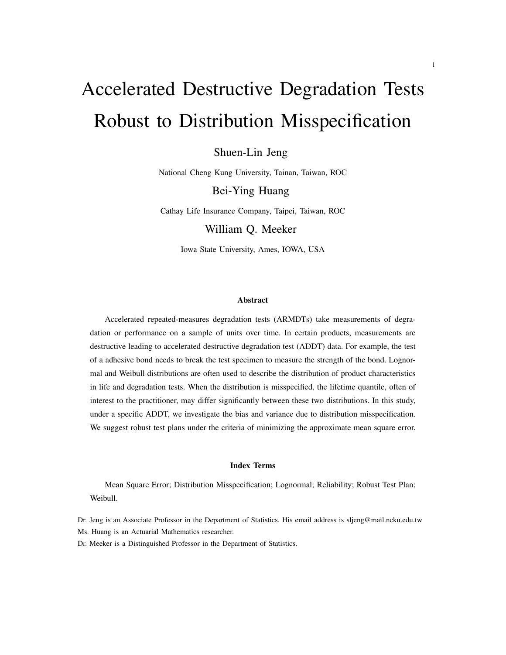# Accelerated Destructive Degradation Tests Robust to Distribution Misspecification

Shuen-Lin Jeng

National Cheng Kung University, Tainan, Taiwan, ROC

Bei-Ying Huang

Cathay Life Insurance Company, Taipei, Taiwan, ROC

William Q. Meeker

Iowa State University, Ames, IOWA, USA

#### Abstract

Accelerated repeated-measures degradation tests (ARMDTs) take measurements of degradation or performance on a sample of units over time. In certain products, measurements are destructive leading to accelerated destructive degradation test (ADDT) data. For example, the test of a adhesive bond needs to break the test specimen to measure the strength of the bond. Lognormal and Weibull distributions are often used to describe the distribution of product characteristics in life and degradation tests. When the distribution is misspecified, the lifetime quantile, often of interest to the practitioner, may differ significantly between these two distributions. In this study, under a specific ADDT, we investigate the bias and variance due to distribution misspecification. We suggest robust test plans under the criteria of minimizing the approximate mean square error.

#### Index Terms

Mean Square Error; Distribution Misspecification; Lognormal; Reliability; Robust Test Plan; Weibull.

Dr. Jeng is an Associate Professor in the Department of Statistics. His email address is sljeng@mail.ncku.edu.tw Ms. Huang is an Actuarial Mathematics researcher.

Dr. Meeker is a Distinguished Professor in the Department of Statistics.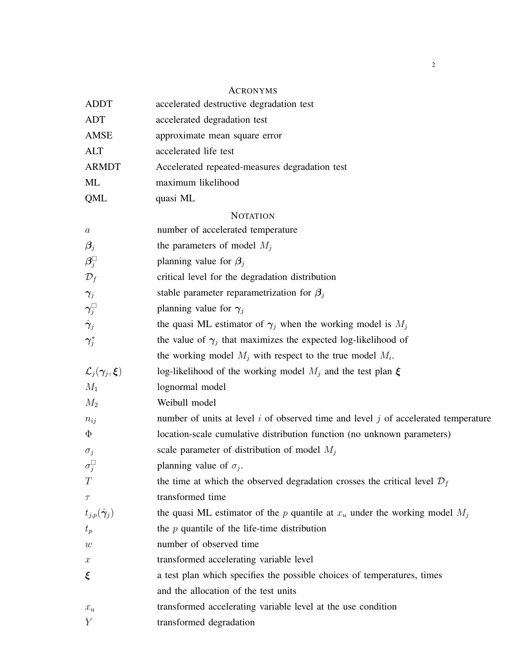# ACRONYMS

| <b>ADDT</b>                             | accelerated destructive degradation test                                               |
|-----------------------------------------|----------------------------------------------------------------------------------------|
| <b>ADT</b>                              | accelerated degradation test                                                           |
| AMSE                                    | approximate mean square error                                                          |
| <b>ALT</b>                              | accelerated life test                                                                  |
| <b>ARMDT</b>                            | Accelerated repeated-measures degradation test                                         |
| ML                                      | maximum likelihood                                                                     |
| QML                                     | quasi ML                                                                               |
|                                         | <b>NOTATION</b>                                                                        |
| $\boldsymbol{a}$                        | number of accelerated temperature                                                      |
| $\boldsymbol{\beta}_j$                  | the parameters of model $M_j$                                                          |
| $\bm{\beta}_j^\Box$                     | planning value for $\beta_i$                                                           |
| $\mathcal{D}_f$                         | critical level for the degradation distribution                                        |
| $\gamma_j$                              | stable parameter reparametrization for $\beta_j$                                       |
| $\boldsymbol{\gamma}_j^\square$         | planning value for $\gamma_j$                                                          |
| $\hat{\bm{\gamma}}_j$                   | the quasi ML estimator of $\gamma_i$ when the working model is $M_i$                   |
| $\boldsymbol{\gamma}_j^*$               | the value of $\gamma_j$ that maximizes the expected log-likelihood of                  |
|                                         | the working model $M_j$ with respect to the true model $M_i$ .                         |
| $\mathcal{L}_j(\bm{\gamma}_j,\bm{\xi})$ | log-likelihood of the working model $M_j$ and the test plan $\xi$                      |
| $M_1$                                   | lognormal model                                                                        |
| $M_2$                                   | Weibull model                                                                          |
| $n_{ij}$                                | number of units at level $i$ of observed time and level $j$ of accelerated temperature |
| $\Phi$                                  | location-scale cumulative distribution function (no unknown parameters)                |
| $\sigma_j$                              | scale parameter of distribution of model $M_i$                                         |
| $\sigma_j^{\Box}$                       | planning value of $\sigma_i$ .                                                         |
| T                                       | the time at which the observed degradation crosses the critical level $\mathcal{D}_f$  |
| $\tau$                                  | transformed time                                                                       |
| $t_{j,p}(\hat{\boldsymbol{\gamma}}_j)$  | the quasi ML estimator of the p quantile at $x_u$ under the working model $M_j$        |
| $t_p$                                   | the $p$ quantile of the life-time distribution                                         |
| w                                       | number of observed time                                                                |
| $\boldsymbol{x}$                        | transformed accelerating variable level                                                |
| ξ                                       | a test plan which specifies the possible choices of temperatures, times                |
|                                         | and the allocation of the test units                                                   |
| $x_u$                                   | transformed accelerating variable level at the use condition                           |
| Y                                       | transformed degradation                                                                |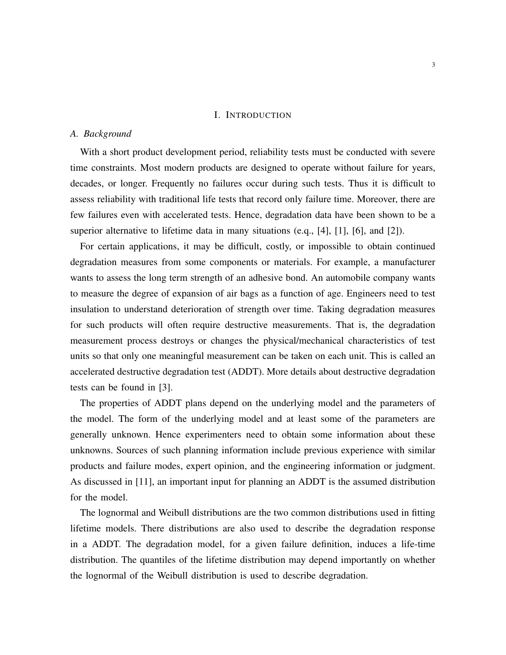#### I. INTRODUCTION

## *A. Background*

With a short product development period, reliability tests must be conducted with severe time constraints. Most modern products are designed to operate without failure for years, decades, or longer. Frequently no failures occur during such tests. Thus it is difficult to assess reliability with traditional life tests that record only failure time. Moreover, there are few failures even with accelerated tests. Hence, degradation data have been shown to be a superior alternative to lifetime data in many situations (e.q., [\[4\]](#page-26-0), [\[1\]](#page-26-1), [\[6\]](#page-26-2), and [\[2\]](#page-26-3)).

For certain applications, it may be difficult, costly, or impossible to obtain continued degradation measures from some components or materials. For example, a manufacturer wants to assess the long term strength of an adhesive bond. An automobile company wants to measure the degree of expansion of air bags as a function of age. Engineers need to test insulation to understand deterioration of strength over time. Taking degradation measures for such products will often require destructive measurements. That is, the degradation measurement process destroys or changes the physical/mechanical characteristics of test units so that only one meaningful measurement can be taken on each unit. This is called an accelerated destructive degradation test (ADDT). More details about destructive degradation tests can be found in [\[3\]](#page-26-4).

The properties of ADDT plans depend on the underlying model and the parameters of the model. The form of the underlying model and at least some of the parameters are generally unknown. Hence experimenters need to obtain some information about these unknowns. Sources of such planning information include previous experience with similar products and failure modes, expert opinion, and the engineering information or judgment. As discussed in [\[11\]](#page-27-0), an important input for planning an ADDT is the assumed distribution for the model.

The lognormal and Weibull distributions are the two common distributions used in fitting lifetime models. There distributions are also used to describe the degradation response in a ADDT. The degradation model, for a given failure definition, induces a life-time distribution. The quantiles of the lifetime distribution may depend importantly on whether the lognormal of the Weibull distribution is used to describe degradation.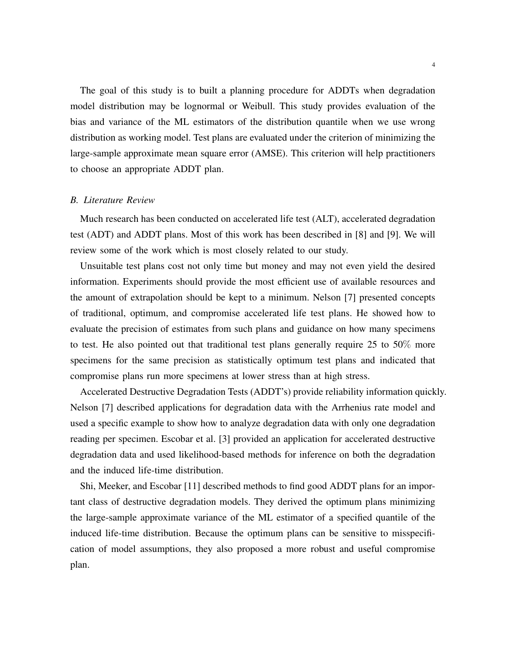The goal of this study is to built a planning procedure for ADDTs when degradation model distribution may be lognormal or Weibull. This study provides evaluation of the bias and variance of the ML estimators of the distribution quantile when we use wrong distribution as working model. Test plans are evaluated under the criterion of minimizing the large-sample approximate mean square error (AMSE). This criterion will help practitioners to choose an appropriate ADDT plan.

#### *B. Literature Review*

Much research has been conducted on accelerated life test (ALT), accelerated degradation test (ADT) and ADDT plans. Most of this work has been described in [\[8\]](#page-26-5) and [\[9\]](#page-26-6). We will review some of the work which is most closely related to our study.

Unsuitable test plans cost not only time but money and may not even yield the desired information. Experiments should provide the most efficient use of available resources and the amount of extrapolation should be kept to a minimum. Nelson [\[7\]](#page-26-7) presented concepts of traditional, optimum, and compromise accelerated life test plans. He showed how to evaluate the precision of estimates from such plans and guidance on how many specimens to test. He also pointed out that traditional test plans generally require 25 to 50% more specimens for the same precision as statistically optimum test plans and indicated that compromise plans run more specimens at lower stress than at high stress.

Accelerated Destructive Degradation Tests (ADDT's) provide reliability information quickly. Nelson [\[7\]](#page-26-7) described applications for degradation data with the Arrhenius rate model and used a specific example to show how to analyze degradation data with only one degradation reading per specimen. Escobar et al. [\[3\]](#page-26-4) provided an application for accelerated destructive degradation data and used likelihood-based methods for inference on both the degradation and the induced life-time distribution.

Shi, Meeker, and Escobar [\[11\]](#page-27-0) described methods to find good ADDT plans for an important class of destructive degradation models. They derived the optimum plans minimizing the large-sample approximate variance of the ML estimator of a specified quantile of the induced life-time distribution. Because the optimum plans can be sensitive to misspecification of model assumptions, they also proposed a more robust and useful compromise plan.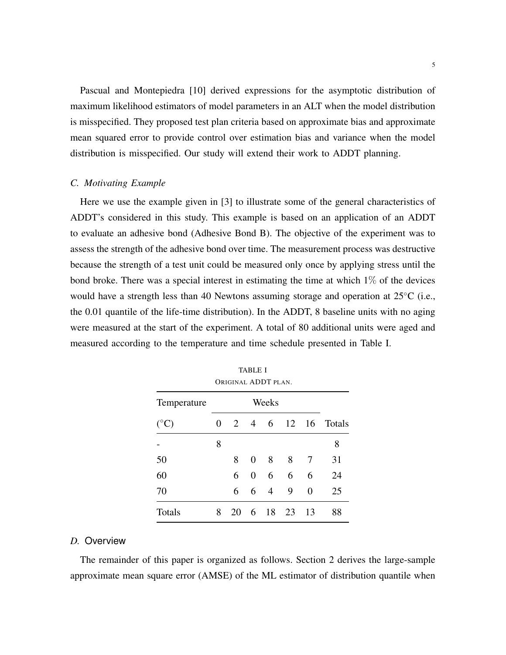Pascual and Montepiedra [\[10\]](#page-27-1) derived expressions for the asymptotic distribution of maximum likelihood estimators of model parameters in an ALT when the model distribution is misspecified. They proposed test plan criteria based on approximate bias and approximate mean squared error to provide control over estimation bias and variance when the model distribution is misspecified. Our study will extend their work to ADDT planning.

## *C. Motivating Example*

<span id="page-4-1"></span>Here we use the example given in [\[3\]](#page-26-4) to illustrate some of the general characteristics of ADDT's considered in this study. This example is based on an application of an ADDT to evaluate an adhesive bond (Adhesive Bond B). The objective of the experiment was to assess the strength of the adhesive bond over time. The measurement process was destructive because the strength of a test unit could be measured only once by applying stress until the bond broke. There was a special interest in estimating the time at which  $1\%$  of the devices would have a strength less than 40 Newtons assuming storage and operation at  $25\degree C$  (i.e., the 0.01 quantile of the life-time distribution). In the ADDT, 8 baseline units with no aging were measured at the start of the experiment. A total of 80 additional units were aged and measured according to the temperature and time schedule presented in Table [I.](#page-4-0)

<span id="page-4-0"></span>

|                 |   | ORIGINAL ADDT PLAN. | 10 Juli        |                |       |    |        |
|-----------------|---|---------------------|----------------|----------------|-------|----|--------|
| Temperature     |   | Weeks               |                |                |       |    |        |
| $({}^{\circ}C)$ | 0 | 2                   | $\overline{4}$ | 6              | 12 16 |    | Totals |
|                 | 8 |                     |                |                |       |    | 8      |
| 50              |   | 8                   | $\overline{0}$ | 8              | 8     | 7  | 31     |
| 60              |   | 6                   | 0              | 6              | 6     | 6  | 24     |
| 70              |   | 6                   | 6              | $\overline{4}$ | 9     | 0  | 25     |
| Totals          | 8 | 20                  | 6              | 18             | -23   | 13 | 88     |

TABLE I

## *D.* Overview

The remainder of this paper is organized as follows. Section 2 derives the large-sample approximate mean square error (AMSE) of the ML estimator of distribution quantile when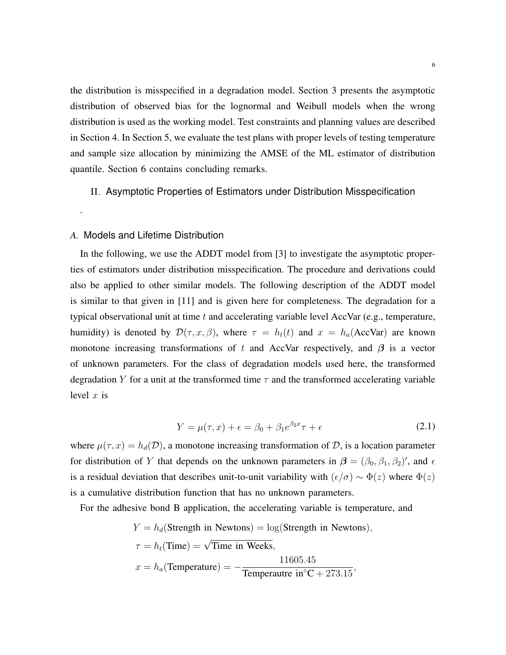the distribution is misspecified in a degradation model. Section 3 presents the asymptotic distribution of observed bias for the lognormal and Weibull models when the wrong distribution is used as the working model. Test constraints and planning values are described in Section 4. In Section 5, we evaluate the test plans with proper levels of testing temperature and sample size allocation by minimizing the AMSE of the ML estimator of distribution quantile. Section 6 contains concluding remarks.

## II. Asymptotic Properties of Estimators under Distribution Misspecification

#### *A.* Models and Lifetime Distribution

.

In the following, we use the ADDT model from [\[3\]](#page-26-4) to investigate the asymptotic properties of estimators under distribution misspecification. The procedure and derivations could also be applied to other similar models. The following description of the ADDT model is similar to that given in [\[11\]](#page-27-0) and is given here for completeness. The degradation for a typical observational unit at time  $t$  and accelerating variable level AccVar (e.g., temperature, humidity) is denoted by  $\mathcal{D}(\tau, x, \beta)$ , where  $\tau = h_t(t)$  and  $x = h_a(\text{AccVar})$  are known monotone increasing transformations of t and AccVar respectively, and  $\beta$  is a vector of unknown parameters. For the class of degradation models used here, the transformed degradation Y for a unit at the transformed time  $\tau$  and the transformed accelerating variable level  $x$  is

<span id="page-5-0"></span>
$$
Y = \mu(\tau, x) + \epsilon = \beta_0 + \beta_1 e^{\beta_2 x} \tau + \epsilon \tag{2.1}
$$

where  $\mu(\tau, x) = h_d(\mathcal{D})$ , a monotone increasing transformation of  $\mathcal{D}$ , is a location parameter for distribution of Y that depends on the unknown parameters in  $\beta = (\beta_0, \beta_1, \beta_2)'$ , and  $\epsilon$ is a residual deviation that describes unit-to-unit variability with  $(\epsilon/\sigma) \sim \Phi(z)$  where  $\Phi(z)$ is a cumulative distribution function that has no unknown parameters.

For the adhesive bond B application, the accelerating variable is temperature, and

$$
Y = h_d(\text{Strength in Newtons}) = \log(\text{Strength in Newtons}),
$$

$$
\tau = h_t(\text{Time}) = \sqrt{\text{Time in Weeks}},
$$

$$
x = h_a(\text{Temperature}) = -\frac{11605.45}{\text{Temperature in}^{\circ}\text{C} + 273.15},
$$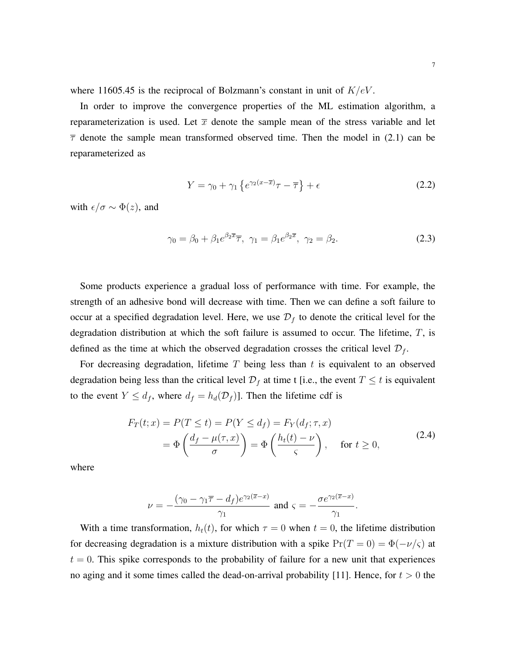where 11605.45 is the reciprocal of Bolzmann's constant in unit of  $K/eV$ .

In order to improve the convergence properties of the ML estimation algorithm, a reparameterization is used. Let  $\bar{x}$  denote the sample mean of the stress variable and let  $\bar{\tau}$  denote the sample mean transformed observed time. Then the model in [\(2.1\)](#page-5-0) can be reparameterized as

<span id="page-6-1"></span>
$$
Y = \gamma_0 + \gamma_1 \left\{ e^{\gamma_2 (x - \overline{x})} \tau - \overline{\tau} \right\} + \epsilon \tag{2.2}
$$

with  $\epsilon/\sigma \sim \Phi(z)$ , and

$$
\gamma_0 = \beta_0 + \beta_1 e^{\beta_2 \overline{x}} \overline{\tau}, \ \gamma_1 = \beta_1 e^{\beta_2 \overline{x}}, \ \gamma_2 = \beta_2. \tag{2.3}
$$

Some products experience a gradual loss of performance with time. For example, the strength of an adhesive bond will decrease with time. Then we can define a soft failure to occur at a specified degradation level. Here, we use  $\mathcal{D}_f$  to denote the critical level for the degradation distribution at which the soft failure is assumed to occur. The lifetime,  $T$ , is defined as the time at which the observed degradation crosses the critical level  $\mathcal{D}_f$ .

For decreasing degradation, lifetime  $T$  being less than  $t$  is equivalent to an observed degradation being less than the critical level  $\mathcal{D}_f$  at time t [i.e., the event  $T \leq t$  is equivalent to the event  $Y \leq d_f$ , where  $d_f = h_d(\mathcal{D}_f)$ . Then the lifetime cdf is

$$
F_T(t;x) = P(T \le t) = P(Y \le d_f) = F_Y(d_f; \tau, x)
$$
  
=  $\Phi\left(\frac{d_f - \mu(\tau, x)}{\sigma}\right) = \Phi\left(\frac{h_t(t) - \nu}{\varsigma}\right)$ , for  $t \ge 0$ , (2.4)

where

<span id="page-6-0"></span>
$$
\nu=-\frac{(\gamma_0-\gamma_1\overline{\tau}-d_f)e^{\gamma_2(\overline{x}-x)}}{\gamma_1}\text{ and }\varsigma=-\frac{\sigma e^{\gamma_2(\overline{x}-x)}}{\gamma_1}.
$$

With a time transformation,  $h_t(t)$ , for which  $\tau = 0$  when  $t = 0$ , the lifetime distribution for decreasing degradation is a mixture distribution with a spike  $Pr(T = 0) = \Phi(-\nu/\varsigma)$  at  $t = 0$ . This spike corresponds to the probability of failure for a new unit that experiences no aging and it some times called the dead-on-arrival probability [\[11\]](#page-27-0). Hence, for  $t > 0$  the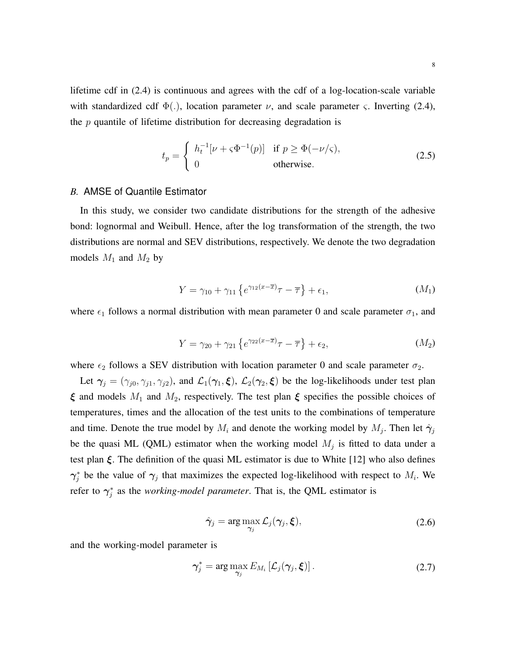lifetime cdf in [\(2.4\)](#page-6-0) is continuous and agrees with the cdf of a log-location-scale variable with standardized cdf  $\Phi(.)$ , location parameter  $\nu$ , and scale parameter  $\varsigma$ . Inverting [\(2.4\)](#page-6-0), the  $p$  quantile of lifetime distribution for decreasing degradation is

<span id="page-7-2"></span>
$$
t_p = \begin{cases} h_t^{-1}[\nu + \varsigma \Phi^{-1}(p)] & \text{if } p \ge \Phi(-\nu/\varsigma), \\ 0 & \text{otherwise.} \end{cases}
$$
 (2.5)

#### *B.* AMSE of Quantile Estimator

In this study, we consider two candidate distributions for the strength of the adhesive bond: lognormal and Weibull. Hence, after the log transformation of the strength, the two distributions are normal and SEV distributions, respectively. We denote the two degradation models  $M_1$  and  $M_2$  by

<span id="page-7-0"></span>
$$
Y = \gamma_{10} + \gamma_{11} \left\{ e^{\gamma_{12}(x-\overline{x})}\tau - \overline{\tau} \right\} + \epsilon_1, \tag{M_1}
$$

where  $\epsilon_1$  follows a normal distribution with mean parameter 0 and scale parameter  $\sigma_1$ , and

<span id="page-7-1"></span>
$$
Y = \gamma_{20} + \gamma_{21} \left\{ e^{\gamma_{22}(x-\overline{x})}\tau - \overline{\tau} \right\} + \epsilon_2, \tag{M_2}
$$

where  $\epsilon_2$  follows a SEV distribution with location parameter 0 and scale parameter  $\sigma_2$ .

Let  $\gamma_j = (\gamma_{j0}, \gamma_{j1}, \gamma_{j2})$ , and  $\mathcal{L}_1(\gamma_1, \xi)$ ,  $\mathcal{L}_2(\gamma_2, \xi)$  be the log-likelihoods under test plan  $\xi$  and models  $M_1$  $M_1$  and  $M_2$ , respectively. The test plan  $\xi$  specifies the possible choices of temperatures, times and the allocation of the test units to the combinations of temperature and time. Denote the true model by  $M_i$  and denote the working model by  $M_j$ . Then let  $\hat{\gamma}_j$ be the quasi ML (QML) estimator when the working model  $M_j$  is fitted to data under a test plan  $\xi$ . The definition of the quasi ML estimator is due to White [\[12\]](#page-27-2) who also defines  $\gamma_j^*$  be the value of  $\gamma_j$  that maximizes the expected log-likelihood with respect to  $M_i$ . We refer to  $\gamma_j^*$  as the *working-model parameter*. That is, the QML estimator is

<span id="page-7-3"></span>
$$
\hat{\gamma}_j = \arg \max_{\gamma_j} \mathcal{L}_j(\gamma_j, \xi), \qquad (2.6)
$$

and the working-model parameter is

$$
\gamma_j^* = \arg \max_{\gamma_j} E_{M_i} \left[ \mathcal{L}_j(\gamma_j, \boldsymbol{\xi}) \right]. \tag{2.7}
$$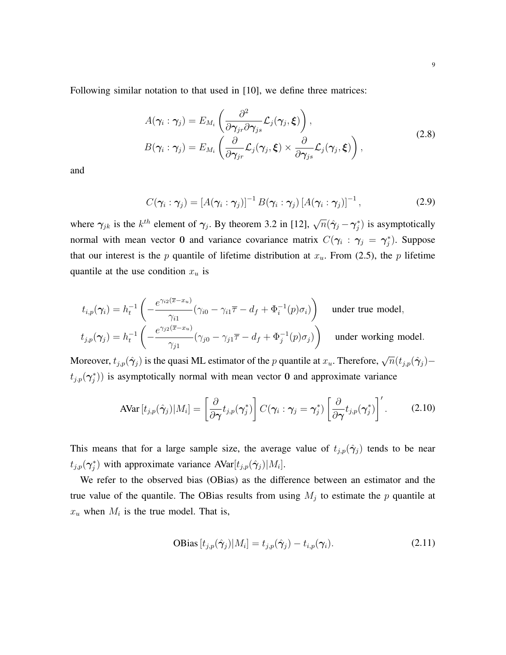Following similar notation to that used in [\[10\]](#page-27-1), we define three matrices:

<span id="page-8-2"></span>
$$
A(\gamma_i : \gamma_j) = E_{M_i} \left( \frac{\partial^2}{\partial \gamma_{jr} \partial \gamma_{js}} \mathcal{L}_j(\gamma_j, \xi) \right),
$$
  
\n
$$
B(\gamma_i : \gamma_j) = E_{M_i} \left( \frac{\partial}{\partial \gamma_{jr}} \mathcal{L}_j(\gamma_j, \xi) \times \frac{\partial}{\partial \gamma_{js}} \mathcal{L}_j(\gamma_j, \xi) \right),
$$
\n(2.8)

and

<span id="page-8-3"></span>
$$
C(\boldsymbol{\gamma}_i:\boldsymbol{\gamma}_j)=[A(\boldsymbol{\gamma}_i:\boldsymbol{\gamma}_j)]^{-1}B(\boldsymbol{\gamma}_i:\boldsymbol{\gamma}_j)[A(\boldsymbol{\gamma}_i:\boldsymbol{\gamma}_j)]^{-1}, \qquad (2.9)
$$

where  $\gamma_{jk}$  is the  $k^{th}$  element of  $\gamma_j$ . By theorem 3.2 in [\[12\]](#page-27-2),  $\sqrt{n}(\hat{\gamma}_j - \gamma_j^*)$  is asymptotically normal with mean vector 0 and variance covariance matrix  $C(\gamma_i : \gamma_j = \gamma_j^*)$ . Suppose that our interest is the p quantile of lifetime distribution at  $x<sub>u</sub>$ . From [\(2.5\)](#page-7-2), the p lifetime quantile at the use condition  $x_u$  is

$$
t_{i,p}(\gamma_i) = h_t^{-1} \left( -\frac{e^{\gamma_{i2}(\overline{x} - x_u)}}{\gamma_{i1}} (\gamma_{i0} - \gamma_{i1}\overline{\tau} - d_f + \Phi_i^{-1}(p)\sigma_i) \right) \quad \text{under true model},
$$
  

$$
t_{j,p}(\gamma_j) = h_t^{-1} \left( -\frac{e^{\gamma_{j2}(\overline{x} - x_u)}}{\gamma_{j1}} (\gamma_{j0} - \gamma_{j1}\overline{\tau} - d_f + \Phi_j^{-1}(p)\sigma_j) \right) \quad \text{under working model}.
$$

Moreover,  $t_{j,p}(\hat{\gamma}_j)$  is the quasi ML estimator of the p quantile at  $x_u$ . Therefore,  $\sqrt{n}(t_{j,p}(\hat{\gamma}_j) (t_{j,p}(\gamma_j^*))$  is asymptotically normal with mean vector 0 and approximate variance

$$
\text{AVar}\left[t_{j,p}(\hat{\gamma}_j)|M_i\right] = \left[\frac{\partial}{\partial \gamma} t_{j,p}(\gamma_j^*)\right] C(\gamma_i : \gamma_j = \gamma_j^*) \left[\frac{\partial}{\partial \gamma} t_{j,p}(\gamma_j^*)\right]'.
$$
 (2.10)

This means that for a large sample size, the average value of  $t_{j,p}(\hat{\gamma}_j)$  tends to be near  $t_{j,p}(\gamma_j^*)$  with approximate variance  $AVar[t_{j,p}(\hat{\gamma}_j)|M_i].$ 

We refer to the observed bias (OBias) as the difference between an estimator and the true value of the quantile. The OBias results from using  $M_j$  to estimate the p quantile at  $x_u$  when  $M_i$  is the true model. That is,

<span id="page-8-1"></span><span id="page-8-0"></span>
$$
\text{OBias}\left[t_{j,p}(\hat{\boldsymbol{\gamma}}_j)|M_i\right] = t_{j,p}(\hat{\boldsymbol{\gamma}}_j) - t_{i,p}(\boldsymbol{\gamma}_i). \tag{2.11}
$$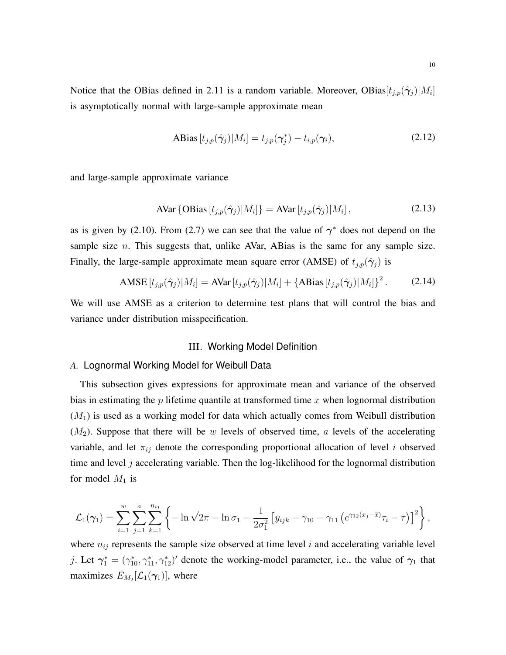Notice that the OBias defined in [2.11](#page-8-0) is a random variable. Moreover, OBias $[t_{j,p}(\hat{\gamma}_j)|M_i]$ is asymptotically normal with large-sample approximate mean

<span id="page-9-1"></span><span id="page-9-0"></span>
$$
\text{ABias}\left[t_{j,p}(\hat{\gamma}_j)|M_i\right] = t_{j,p}(\gamma_j^*) - t_{i,p}(\gamma_i),\tag{2.12}
$$

and large-sample approximate variance

$$
\text{AVar } \{ \text{OBias } [t_{j,p}(\hat{\boldsymbol{\gamma}}_j) | M_i] \} = \text{AVar } [t_{j,p}(\hat{\boldsymbol{\gamma}}_j) | M_i], \tag{2.13}
$$

as is given by [\(2.10\)](#page-8-1). From [\(2.7\)](#page-7-3) we can see that the value of  $\gamma^*$  does not depend on the sample size  $n$ . This suggests that, unlike AVar, ABias is the same for any sample size. Finally, the large-sample approximate mean square error (AMSE) of  $t_{j,p}(\hat{\gamma}_j)$  is

$$
\text{AMSE}\left[t_{j,p}(\hat{\gamma}_j)|M_i\right] = \text{AVar}\left[t_{j,p}(\hat{\gamma}_j)|M_i\right] + \left\{\text{ABias}\left[t_{j,p}(\hat{\gamma}_j)|M_i\right]\right\}^2. \tag{2.14}
$$

We will use AMSE as a criterion to determine test plans that will control the bias and variance under distribution misspecification.

#### <span id="page-9-2"></span>III. Working Model Definition

## *A.* Lognormal Working Model for Weibull Data

This subsection gives expressions for approximate mean and variance of the observed bias in estimating the  $p$  lifetime quantile at transformed time  $x$  when lognormal distribution  $(M_1)$  $(M_1)$  $(M_1)$  is used as a working model for data which actually comes from Weibull distribution  $(M_2)$  $(M_2)$  $(M_2)$ . Suppose that there will be w levels of observed time, a levels of the accelerating variable, and let  $\pi_{ij}$  denote the corresponding proportional allocation of level i observed time and level  $j$  accelerating variable. Then the log-likelihood for the lognormal distribution for model  $M_1$  $M_1$  is

$$
\mathcal{L}_1(\gamma_1) = \sum_{i=1}^w \sum_{j=1}^a \sum_{k=1}^{n_{ij}} \left\{ -\ln \sqrt{2\pi} - \ln \sigma_1 - \frac{1}{2\sigma_1^2} \left[ y_{ijk} - \gamma_{10} - \gamma_{11} \left( e^{\gamma_{12}(x_j - \overline{x})} \tau_i - \overline{\tau} \right) \right]^2 \right\},\,
$$

where  $n_{ij}$  represents the sample size observed at time level i and accelerating variable level j. Let  $\gamma_1^* = (\gamma_{10}^*, \gamma_{11}^*, \gamma_{12}^*)'$  denote the working-model parameter, i.e., the value of  $\gamma_1$  that maximizes  $E_{M_2}[\mathcal{L}_1(\boldsymbol{\gamma}_1)]$ , where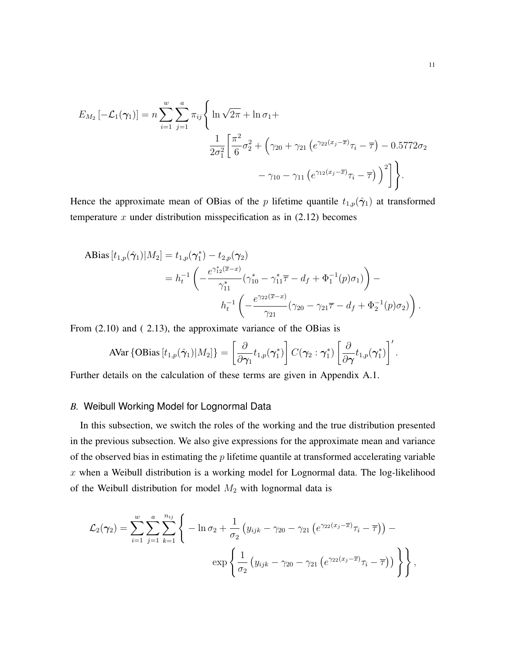$$
E_{M_2}\left[-\mathcal{L}_1(\gamma_1)\right] = n \sum_{i=1}^w \sum_{j=1}^a \pi_{ij} \left\{\ln\sqrt{2\pi} + \ln \sigma_1 + \frac{1}{2\sigma_1^2} \left[ \frac{\pi^2}{6} \sigma_2^2 + \left(\gamma_{20} + \gamma_{21} \left( e^{\gamma_{22}(x_j - \overline{x})} \tau_i - \overline{\tau} \right) - 0.5772 \sigma_2 - \gamma_{10} - \gamma_{11} \left( e^{\gamma_{12}(x_j - \overline{x})} \tau_i - \overline{\tau} \right) \right)^2 \right] \right\}.
$$

Hence the approximate mean of OBias of the p lifetime quantile  $t_{1,p}(\hat{\gamma}_1)$  at transformed temperature  $x$  under distribution misspecification as in  $(2.12)$  becomes

$$
\begin{split} \text{ABias}\left[t_{1,p}(\hat{\gamma}_{1})|M_{2}\right] &= t_{1,p}(\gamma_{1}^{*}) - t_{2,p}(\gamma_{2}) \\ &= h_{t}^{-1} \left( -\frac{e^{\gamma_{12}^{*}(\overline{x} - x)}}{\gamma_{11}^{*}} (\gamma_{10}^{*} - \gamma_{11}^{*} \overline{\tau} - d_{f} + \Phi_{1}^{-1}(p)\sigma_{1}) \right) - \\ &\quad h_{t}^{-1} \left( -\frac{e^{\gamma_{22}(\overline{x} - x)}}{\gamma_{21}} (\gamma_{20} - \gamma_{21} \overline{\tau} - d_{f} + \Phi_{2}^{-1}(p)\sigma_{2}) \right). \end{split}
$$

From [\(2.10\)](#page-8-1) and ( [2.13\)](#page-9-1), the approximate variance of the OBias is

$$
\text{AVar}\left\{\text{OBias}\left[t_{1,p}(\hat{\boldsymbol{\gamma}}_1)|M_2\right]\right\} = \left[\frac{\partial}{\partial \boldsymbol{\gamma}_1}t_{1,p}(\boldsymbol{\gamma}_1^*)\right]C(\boldsymbol{\gamma}_2:\boldsymbol{\gamma}_1^*)\left[\frac{\partial}{\partial \boldsymbol{\gamma}}t_{1,p}(\boldsymbol{\gamma}_1^*)\right]'\text{.}
$$

Further details on the calculation of these terms are given in Appendix A.1.

## *B.* Weibull Working Model for Lognormal Data

In this subsection, we switch the roles of the working and the true distribution presented in the previous subsection. We also give expressions for the approximate mean and variance of the observed bias in estimating the  $p$  lifetime quantile at transformed accelerating variable  $x$  when a Weibull distribution is a working model for Lognormal data. The log-likelihood of the Weibull distribution for model  $M_2$  $M_2$  with lognormal data is

$$
\mathcal{L}_2(\gamma_2) = \sum_{i=1}^w \sum_{j=1}^a \sum_{k=1}^{n_{ij}} \left\{ -\ln \sigma_2 + \frac{1}{\sigma_2} \left( y_{ijk} - \gamma_{20} - \gamma_{21} \left( e^{\gamma_{22}(x_j - \overline{x})} \tau_i - \overline{\tau} \right) \right) - \exp \left\{ \frac{1}{\sigma_2} \left( y_{ijk} - \gamma_{20} - \gamma_{21} \left( e^{\gamma_{22}(x_j - \overline{x})} \tau_i - \overline{\tau} \right) \right) \right\},
$$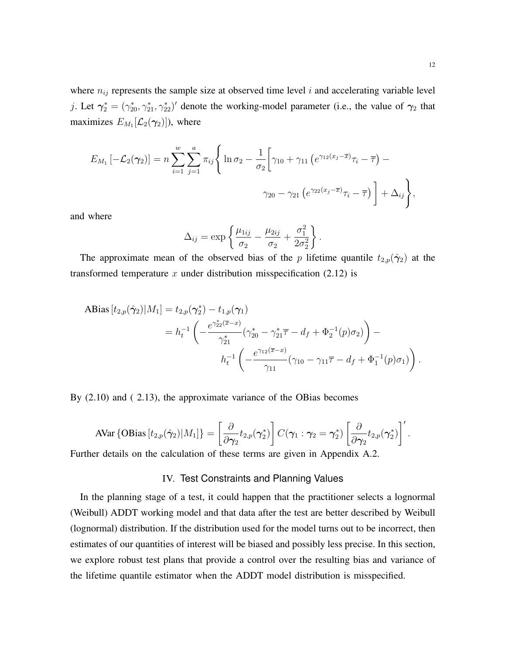where  $n_{ij}$  represents the sample size at observed time level i and accelerating variable level j. Let  $\gamma_2^* = (\gamma_{20}^*, \gamma_{21}^*, \gamma_{22}^*)'$  denote the working-model parameter (i.e., the value of  $\gamma_2$  that maximizes  $E_{M_1}[\mathcal{L}_2(\boldsymbol{\gamma}_2)]$ ), where

$$
E_{M_1}\left[-\mathcal{L}_2(\gamma_2)\right] = n \sum_{i=1}^w \sum_{j=1}^a \pi_{ij} \left\{ \ln \sigma_2 - \frac{1}{\sigma_2} \left[ \gamma_{10} + \gamma_{11} \left( e^{\gamma_{12}(x_j - \overline{x})} \tau_i - \overline{\tau} \right) - \right. \\ \left. \gamma_{20} - \gamma_{21} \left( e^{\gamma_{22}(x_j - \overline{x})} \tau_i - \overline{\tau} \right) \right] + \Delta_{ij} \right\},\,
$$

and where

$$
\Delta_{ij} = \exp\left\{\frac{\mu_{1ij}}{\sigma_2} - \frac{\mu_{2ij}}{\sigma_2} + \frac{\sigma_1^2}{2\sigma_2^2}\right\}.
$$

The approximate mean of the observed bias of the p lifetime quantile  $t_{2,p}(\hat{\gamma}_2)$  at the transformed temperature x under distribution misspecification  $(2.12)$  is

$$
\begin{split} \text{ABias} \left[ t_{2,p}(\hat{\gamma}_2) | M_1 \right] &= t_{2,p}(\gamma_2^*) - t_{1,p}(\gamma_1) \\ &= h_t^{-1} \left( -\frac{e^{\gamma_{22}^* (\overline{x} - x)}}{\gamma_{21}^*} (\gamma_{20}^* - \gamma_{21}^* \overline{\tau} - d_f + \Phi_2^{-1}(p)\sigma_2) \right) - \\ &\quad h_t^{-1} \left( -\frac{e^{\gamma_{12} (\overline{x} - x)}}{\gamma_{11}} (\gamma_{10} - \gamma_{11} \overline{\tau} - d_f + \Phi_1^{-1}(p)\sigma_1) \right). \end{split}
$$

By [\(2.10\)](#page-8-1) and ( [2.13\)](#page-9-1), the approximate variance of the OBias becomes

$$
\text{AVar}\left\{\text{OBias}\left[t_{2,p}(\hat{\gamma}_2)|M_1\right]\right\} = \left[\frac{\partial}{\partial \gamma_2}t_{2,p}(\gamma_2^*)\right]C(\gamma_1:\gamma_2=\gamma_2^*)\left[\frac{\partial}{\partial \gamma_2}t_{2,p}(\gamma_2^*)\right]'.
$$

Further details on the calculation of these terms are given in Appendix A.2.

## IV. Test Constraints and Planning Values

In the planning stage of a test, it could happen that the practitioner selects a lognormal (Weibull) ADDT working model and that data after the test are better described by Weibull (lognormal) distribution. If the distribution used for the model turns out to be incorrect, then estimates of our quantities of interest will be biased and possibly less precise. In this section, we explore robust test plans that provide a control over the resulting bias and variance of the lifetime quantile estimator when the ADDT model distribution is misspecified.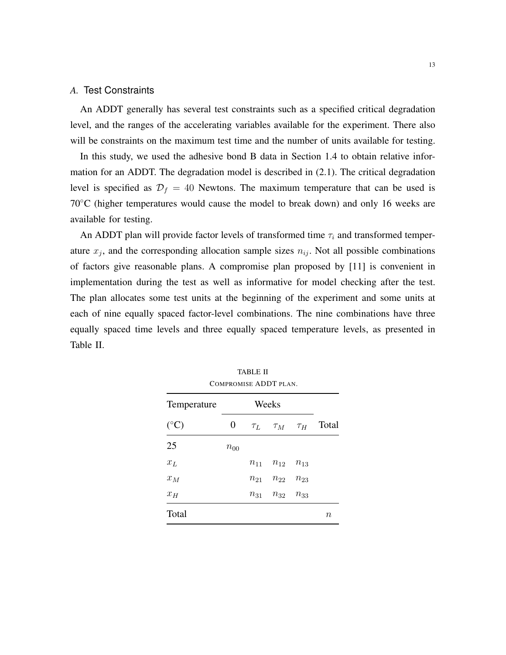## *A.* Test Constraints

An ADDT generally has several test constraints such as a specified critical degradation level, and the ranges of the accelerating variables available for the experiment. There also will be constraints on the maximum test time and the number of units available for testing.

In this study, we used the adhesive bond B data in Section [1.4](#page-4-1) to obtain relative information for an ADDT. The degradation model is described in [\(2.1\)](#page-5-0). The critical degradation level is specified as  $\mathcal{D}_f = 40$  Newtons. The maximum temperature that can be used is 70◦C (higher temperatures would cause the model to break down) and only 16 weeks are available for testing.

An ADDT plan will provide factor levels of transformed time  $\tau_i$  and transformed temperature  $x_j$ , and the corresponding allocation sample sizes  $n_{ij}$ . Not all possible combinations of factors give reasonable plans. A compromise plan proposed by [\[11\]](#page-27-0) is convenient in implementation during the test as well as informative for model checking after the test. The plan allocates some test units at the beginning of the experiment and some units at each of nine equally spaced factor-level combinations. The nine combinations have three equally spaced time levels and three equally spaced temperature levels, as presented in Table [II.](#page-12-0)

<span id="page-12-0"></span>

| Temperature     |          |          | COMPROMISE ADDT PLAN.<br>Weeks |          |        |  |
|-----------------|----------|----------|--------------------------------|----------|--------|--|
|                 |          |          |                                |          |        |  |
| $({}^{\circ}C)$ | 0        |          | $\tau_L$ $\tau_M$ $\tau_H$     |          | Total  |  |
| 25              | $n_{00}$ |          |                                |          |        |  |
| $x_L$           |          |          | $n_{11}$ $n_{12}$              | $n_{13}$ |        |  |
| $x_M$           |          | $n_{21}$ | $n_{22}$                       | $n_{23}$ |        |  |
| $x_H$           |          | $n_{31}$ | $n_{32}$                       | $n_{33}$ |        |  |
| Total           |          |          |                                |          | $\, n$ |  |

TABLE II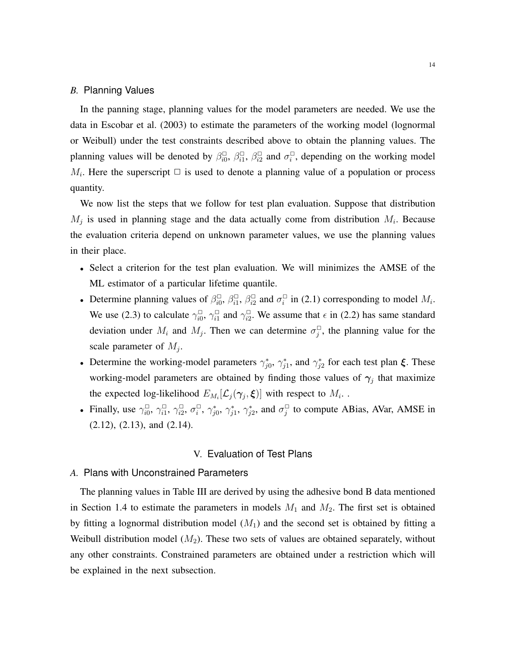## *B.* Planning Values

In the panning stage, planning values for the model parameters are needed. We use the data in Escobar et al. (2003) to estimate the parameters of the working model (lognormal or Weibull) under the test constraints described above to obtain the planning values. The planning values will be denoted by  $\beta_{i0}^{\Box}, \beta_{i1}^{\Box}, \beta_{i2}^{\Box}$  and  $\sigma_i^{\Box}$ , depending on the working model  $M_i$ . Here the superscript  $\Box$  is used to denote a planning value of a population or process quantity.

We now list the steps that we follow for test plan evaluation. Suppose that distribution  $M_j$  is used in planning stage and the data actually come from distribution  $M_i$ . Because the evaluation criteria depend on unknown parameter values, we use the planning values in their place.

- Select a criterion for the test plan evaluation. We will minimizes the AMSE of the ML estimator of a particular lifetime quantile.
- Determine planning values of  $\beta_{i0}^{\Box}, \beta_{i1}^{\Box}, \beta_{i2}^{\Box}$  and  $\sigma_i^{\Box}$  in [\(2.1\)](#page-5-0) corresponding to model  $M_i$ . We use [\(2.3\)](#page-6-1) to calculate  $\gamma_{i0}^{\Box}, \gamma_{i1}^{\Box}$  and  $\gamma_{i2}^{\Box}$ . We assume that  $\epsilon$  in (2.2) has same standard deviation under  $M_i$  and  $M_j$ . Then we can determine  $\sigma_j^{\Box}$ , the planning value for the scale parameter of  $M_j$ .
- Determine the working-model parameters  $\gamma_{j0}^*$ ,  $\gamma_{j1}^*$ , and  $\gamma_{j2}^*$  for each test plan  $\xi$ . These working-model parameters are obtained by finding those values of  $\gamma_j$  that maximize the expected log-likelihood  $E_{M_i}[\mathcal{L}_j(\gamma_j,\boldsymbol{\xi})]$  with respect to  $M_i$ .
- Finally, use  $\gamma_{i0}^{\Box}, \gamma_{i1}^{\Box}, \gamma_{i2}^{\Box}, \sigma_i^{\Box}, \gamma_{j0}^*, \gamma_{j1}^*, \gamma_{j2}^*,$  and  $\sigma_j^{\Box}$  to compute ABias, AVar, AMSE in [\(2.12\)](#page-9-0), [\(2.13\)](#page-9-1), and [\(2.14\)](#page-9-2).

## V. Evaluation of Test Plans

# *A.* Plans with Unconstrained Parameters

The planning values in Table [III](#page-15-0) are derived by using the adhesive bond B data mentioned in Section [1.4](#page-4-1) to estimate the parameters in models  $M_1$  $M_1$  and  $M_2$ . The first set is obtained by fitting a lognormal distribution model  $(M_1)$  $(M_1)$  $(M_1)$  and the second set is obtained by fitting a Weibull distribution model  $(M_2)$  $(M_2)$  $(M_2)$ . These two sets of values are obtained separately, without any other constraints. Constrained parameters are obtained under a restriction which will be explained in the next subsection.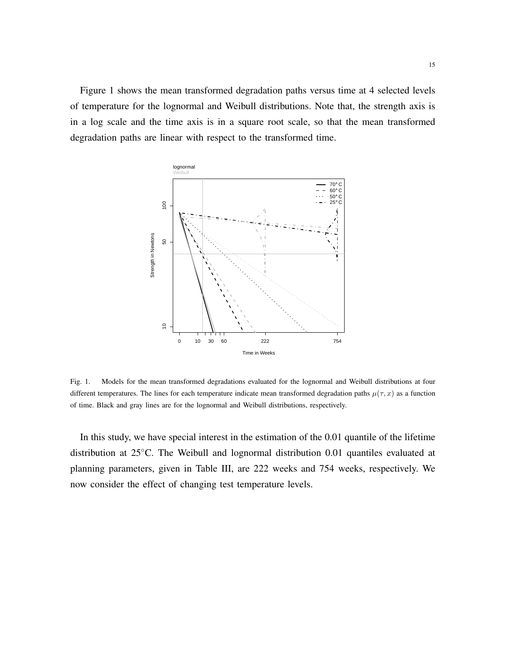Figure [1](#page-14-0) shows the mean transformed degradation paths versus time at 4 selected levels of temperature for the lognormal and Weibull distributions. Note that, the strength axis is in a log scale and the time axis is in a square root scale, so that the mean transformed degradation paths are linear with respect to the transformed time.



<span id="page-14-0"></span>Fig. 1. Models for the mean transformed degradations evaluated for the lognormal and Weibull distributions at four different temperatures. The lines for each temperature indicate mean transformed degradation paths  $\mu(\tau, x)$  as a function of time. Black and gray lines are for the lognormal and Weibull distributions, respectively.

In this study, we have special interest in the estimation of the 0.01 quantile of the lifetime distribution at 25◦C. The Weibull and lognormal distribution 0.01 quantiles evaluated at planning parameters, given in Table [III,](#page-15-0) are 222 weeks and 754 weeks, respectively. We now consider the effect of changing test temperature levels.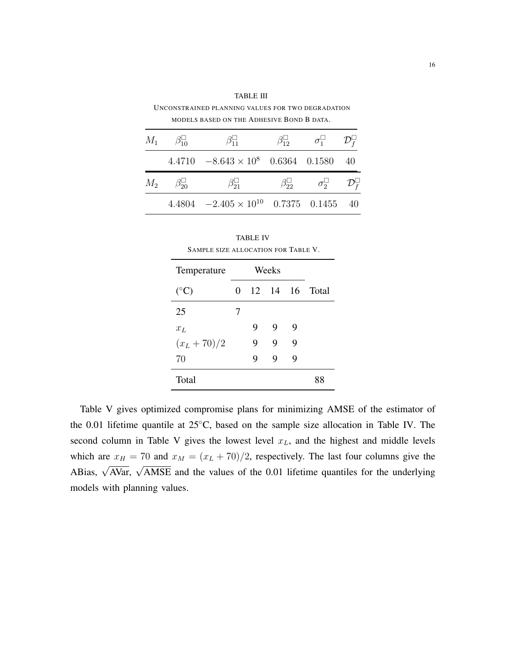| $M_1 \qquad \beta_{10}^{\square}$ | $\beta_{11}^{\square}$                          | $\beta_{12}^{\square}$ $\sigma_1^{\square}$ $\mathcal{D}_f^{\square}$ |  |
|-----------------------------------|-------------------------------------------------|-----------------------------------------------------------------------|--|
|                                   | $4.4710 -8.643 \times 10^8$ 0.6364 0.1580 40    |                                                                       |  |
| $M_2$ $\beta_{20}$                | $\beta_{21}^{\square}$                          | $\beta_{22}^{\square}$ $\sigma_2^{\square}$ $\mathcal{D}_f^{\square}$ |  |
|                                   | $4.4804 -2.405 \times 10^{10}$ 0.7375 0.1455 40 |                                                                       |  |

<span id="page-15-0"></span>TABLE III UNCONSTRAINED PLANNING VALUES FOR TWO DEGRADATION MODELS BASED ON THE ADHESIVE BOND B DATA.

<span id="page-15-1"></span>

| SAMPLE SIZE ALLOCATION FOR TABLE V. |   | <b>TABLE IV</b> |       |   |                |
|-------------------------------------|---|-----------------|-------|---|----------------|
| Temperature                         |   |                 | Weeks |   |                |
| $({}^{\circ}C)$                     | 0 |                 |       |   | 12 14 16 Total |
| 25                                  | 7 |                 |       |   |                |
| $x_L$                               |   | 9               | 9     | 9 |                |
| $(x_L + 70)/2$                      |   | 9               | 9     | 9 |                |
| 70                                  |   | 9               | 9     | 9 |                |
| Total                               |   |                 |       |   |                |

Table [V](#page-16-0) gives optimized compromise plans for minimizing AMSE of the estimator of the 0.01 lifetime quantile at 25◦C, based on the sample size allocation in Table [IV.](#page-15-1) The second column in Table [V](#page-16-0) gives the lowest level  $x_L$ , and the highest and middle levels which are  $x_H = 70$  and  $x_M = (x_L + 70)/2$ , respectively. The last four columns give the ABias,  $\sqrt{\text{AVar}}$ ,  $\sqrt{\text{AMSE}}$  and the values of the 0.01 lifetime quantiles for the underlying models with planning values.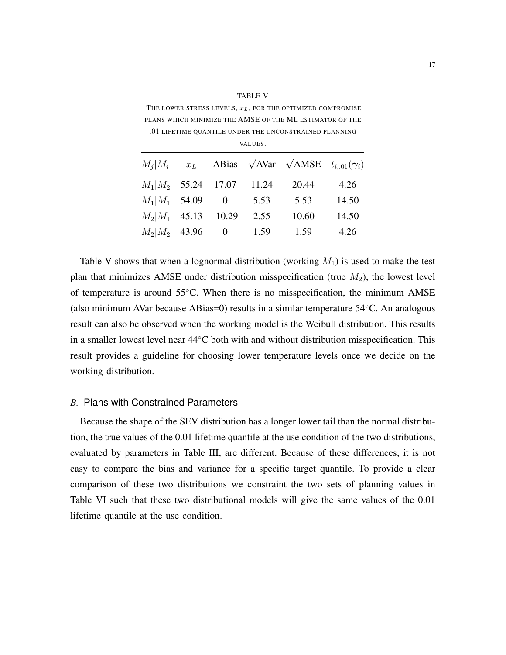<span id="page-16-0"></span>THE LOWER STRESS LEVELS,  $x_L$ , FOR THE OPTIMIZED COMPROMISE PLANS WHICH MINIMIZE THE AMSE OF THE ML ESTIMATOR OF THE .01 LIFETIME QUANTILE UNDER THE UNCONSTRAINED PLANNING

VALUES.

TABLE V

| $M_i M_i$              | $x_L$ |                          |       | ABias $\sqrt{AVar}$ $\sqrt{AMSE}$ | $t_{i.01}(\gamma_i)$ |
|------------------------|-------|--------------------------|-------|-----------------------------------|----------------------|
| $M_1 M_2$ 55.24 17.07  |       |                          | 11.24 | 20.44                             | 4.26                 |
| $M_1 M_1$ 54.09        |       | $\overline{\phantom{0}}$ | 5.53  | 5.53                              | 14.50                |
| $M_2 M_1$ 45.13 -10.29 |       |                          | 2.55  | 10.60                             | 14.50                |
| $M_2 M_2$ 43.96        |       | $\overline{\phantom{0}}$ | 1.59  | 1.59                              | 4.26                 |

Table [V](#page-16-0) shows that when a lognormal distribution (working  $M_1$  $M_1$ ) is used to make the test plan that minimizes A[M](#page-7-1)SE under distribution misspecification (true  $M_2$ ), the lowest level of temperature is around 55◦C. When there is no misspecification, the minimum AMSE (also minimum AVar because ABias=0) results in a similar temperature 54◦C. An analogous result can also be observed when the working model is the Weibull distribution. This results in a smaller lowest level near 44◦C both with and without distribution misspecification. This result provides a guideline for choosing lower temperature levels once we decide on the working distribution.

#### *B.* Plans with Constrained Parameters

Because the shape of the SEV distribution has a longer lower tail than the normal distribution, the true values of the 0.01 lifetime quantile at the use condition of the two distributions, evaluated by parameters in Table [III,](#page-15-0) are different. Because of these differences, it is not easy to compare the bias and variance for a specific target quantile. To provide a clear comparison of these two distributions we constraint the two sets of planning values in Table [VI](#page-17-0) such that these two distributional models will give the same values of the 0.01 lifetime quantile at the use condition.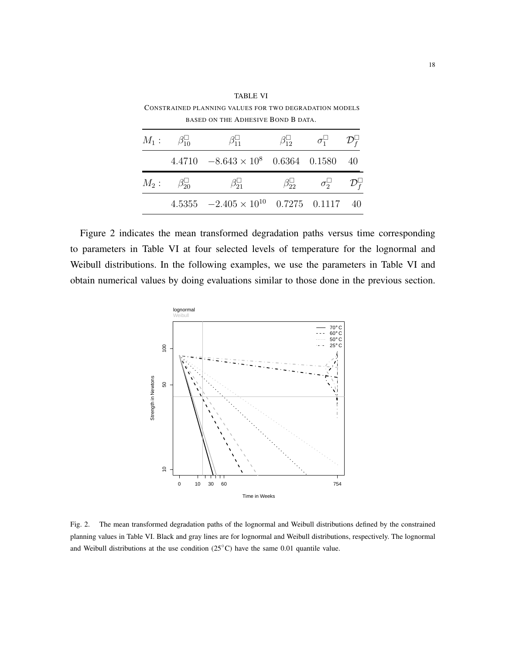|                                    | BASED ON THE ADHESIVE BOND B DATA.              |                                                                       |      |
|------------------------------------|-------------------------------------------------|-----------------------------------------------------------------------|------|
| $M_1: \qquad \beta_{10}^{\square}$ | $\beta_{11}^{\square}$                          | $\beta_{12}^{\square}$ $\sigma_1^{\square}$ $\mathcal{D}_f^{\square}$ |      |
|                                    | $4.4710 -8.643 \times 10^8$ 0.6364 0.1580       |                                                                       | - 40 |
| $M_2: \quad \beta_{20}^{\square}$  | $\beta_{21}^{\square}$                          | $\beta_{22}^{\square}$ $\sigma_2^{\square}$ $\mathcal{D}_f^{\square}$ |      |
|                                    | $4.5355 -2.405 \times 10^{10}$ 0.7275 0.1117 40 |                                                                       |      |

<span id="page-17-0"></span>CONSTRAINED PLANNING VALUES FOR TWO DEGRADATION MODELS

TABLE VI

Figure [2](#page-17-1) indicates the mean transformed degradation paths versus time corresponding to parameters in Table [VI](#page-17-0) at four selected levels of temperature for the lognormal and Weibull distributions. In the following examples, we use the parameters in Table [VI](#page-17-0) and obtain numerical values by doing evaluations similar to those done in the previous section.



<span id="page-17-1"></span>Fig. 2. The mean transformed degradation paths of the lognormal and Weibull distributions defined by the constrained planning values in Table [VI.](#page-17-0) Black and gray lines are for lognormal and Weibull distributions, respectively. The lognormal and Weibull distributions at the use condition (25<sup>°C</sup>) have the same 0.01 quantile value.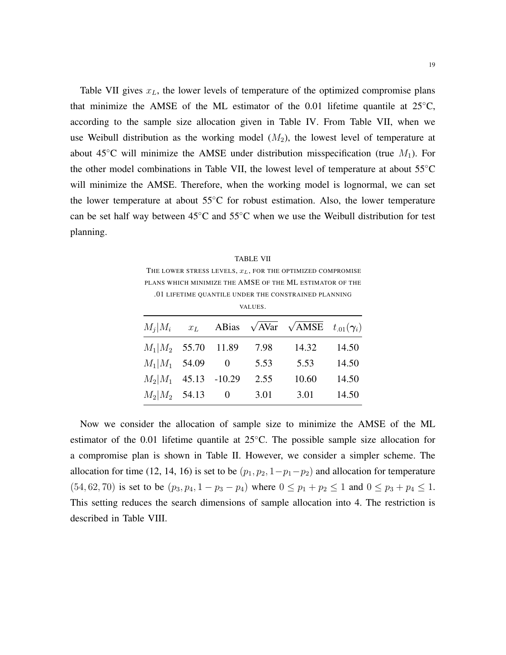Table [VII](#page-18-0) gives  $x_L$ , the lower levels of temperature of the optimized compromise plans that minimize the AMSE of the ML estimator of the 0.01 lifetime quantile at  $25^{\circ}$ C, according to the sample size allocation given in Table [IV.](#page-15-1) From Table [VII,](#page-18-0) when we use Weibull distribution as the working model  $(M_2)$ , the lowest level of temperature at about 45<sup>°</sup>C will minimize the AMSE under distribution misspecification (true  $M_1$ ). For the other model combinations in Table [VII,](#page-18-0) the lowest level of temperature at about 55◦C will minimize the AMSE. Therefore, when the working model is lognormal, we can set the lower temperature at about 55◦C for robust estimation. Also, the lower temperature can be set half way between 45◦C and 55◦C when we use the Weibull distribution for test planning.

<span id="page-18-0"></span>TABLE VII THE LOWER STRESS LEVELS,  $x_L$ , FOR THE OPTIMIZED COMPROMISE PLANS WHICH MINIMIZE THE AMSE OF THE ML ESTIMATOR OF THE .01 LIFETIME QUANTILE UNDER THE CONSTRAINED PLANNING

VALUES.

| $M_i M_i $             | $x_L$ |                   |      | ABias $\sqrt{AVar}$ $\sqrt{AMSE}$ $t_{.01}(\gamma_i)$ |       |
|------------------------|-------|-------------------|------|-------------------------------------------------------|-------|
| $M_1 M_2$ 55.70 11.89  |       |                   | 7.98 | 14.32                                                 | 14.50 |
| $M_1 M_1$ 54.09        |       | $\hspace{0.6cm}0$ | 5.53 | 5.53                                                  | 14.50 |
| $M_2 M_1$ 45.13 -10.29 |       |                   | 2.55 | 10.60                                                 | 14.50 |
| $M_2 M_2$ 54.13 0      |       |                   | 3.01 | 3.01                                                  | 14.50 |

Now we consider the allocation of sample size to minimize the AMSE of the ML estimator of the 0.01 lifetime quantile at 25◦C. The possible sample size allocation for a compromise plan is shown in Table [II.](#page-12-0) However, we consider a simpler scheme. The allocation for time (12, 14, 16) is set to be  $(p_1, p_2, 1-p_1-p_2)$  and allocation for temperature (54, 62, 70) is set to be  $(p_3, p_4, 1 - p_3 - p_4)$  where  $0 \le p_1 + p_2 \le 1$  and  $0 \le p_3 + p_4 \le 1$ . This setting reduces the search dimensions of sample allocation into 4. The restriction is described in Table [VIII.](#page-19-0)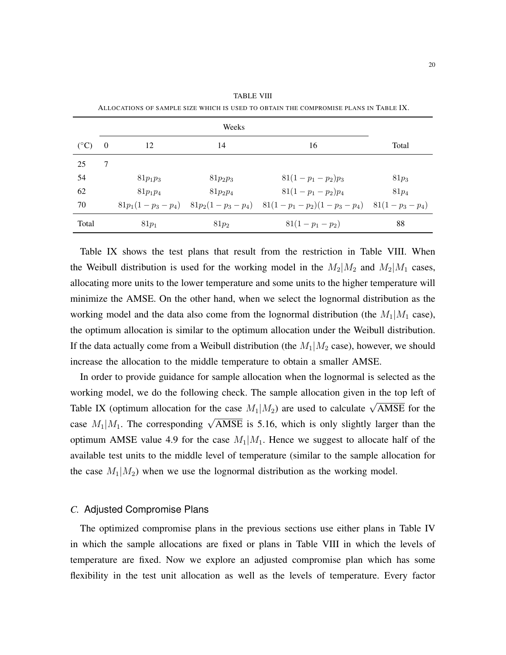<span id="page-19-0"></span>

|               |          |            | Weeks      |                                                                                  |         |
|---------------|----------|------------|------------|----------------------------------------------------------------------------------|---------|
| $(^{\circ}C)$ | $\theta$ | 12         | 14         | 16                                                                               | Total   |
| 25            | 7        |            |            |                                                                                  |         |
| 54            |          | $81p_1p_3$ | $81p_2p_3$ | $81(1-p_1-p_2)p_3$                                                               | $81p_3$ |
| 62            |          | $81p_1p_4$ | $81p_2p_4$ | $81(1-p_1-p_2)p_4$                                                               | $81p_4$ |
| 70            |          |            |            | $81p_1(1-p_3-p_4)$ $81p_2(1-p_3-p_4)$ $81(1-p_1-p_2)(1-p_3-p_4)$ $81(1-p_3-p_4)$ |         |
| Total         |          | $81p_1$    | $81p_2$    | $81(1-p_1-p_2)$                                                                  | 88      |

TABLE VIII ALLOCATIONS OF SAMPLE SIZE WHICH IS USED TO OBTAIN THE COMPROMISE PLANS IN TABLE [IX.](#page-20-0)

Table [IX](#page-20-0) shows the test plans that result from the restriction in Table [VIII.](#page-19-0) When the Weibull distribution is used for the working model in the  $M_2|M_2$  and  $M_2|M_1$  cases, allocating more units to the lower temperature and some units to the higher temperature will minimize the AMSE. On the other hand, when we select the lognormal distribution as the working model and the data also come from the lognormal distribution (the  $M_1|M_1$  case), the optimum allocation is similar to the optimum allocation under the Weibull distribution. If the data actually come from a Weibull distribution (the  $M_1|M_2|$  case), however, we should increase the allocation to the middle temperature to obtain a smaller AMSE.

In order to provide guidance for sample allocation when the lognormal is selected as the working model, we do the following check. The sample allocation given in the top left of Table [IX](#page-20-0) (optimum allocation for the case  $M_1|M_2$ ) are used to calculate  $\sqrt{\text{AMSE}}$  for the case  $M_1|M_1$ . The corresponding  $\sqrt{\text{AMSE}}$  is 5.16, which is only slightly larger than the optimum AMSE value 4.9 for the case  $M_1|M_1$ . Hence we suggest to allocate half of the available test units to the middle level of temperature (similar to the sample allocation for the case  $M_1|M_2$ ) when we use the lognormal distribution as the working model.

#### *C.* Adjusted Compromise Plans

The optimized compromise plans in the previous sections use either plans in Table [IV](#page-15-1) in which the sample allocations are fixed or plans in Table [VIII](#page-19-0) in which the levels of temperature are fixed. Now we explore an adjusted compromise plan which has some flexibility in the test unit allocation as well as the levels of temperature. Every factor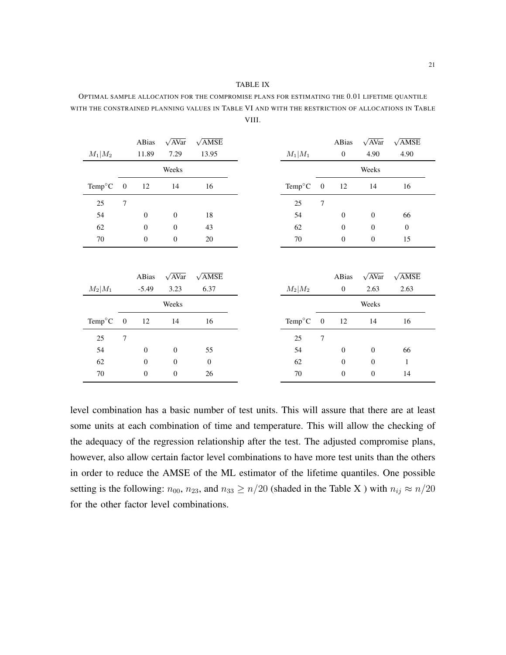#### TABLE IX

<span id="page-20-0"></span>OPTIMAL SAMPLE ALLOCATION FOR THE COMPROMISE PLANS FOR ESTIMATING THE 0.01 LIFETIME QUANTILE WITH THE CONSTRAINED PLANNING VALUES IN TABLE [VI](#page-17-0) AND WITH THE RESTRICTION OF ALLOCATIONS IN TABLE [VIII.](#page-19-0)

| $M_1 M_2$       |                  | ABias<br>11.89   | $\sqrt{AVar}$<br>7.29 | $\sqrt{\text{AMSE}}$<br>13.95 | $M_1 M_1$           |                  | ABias<br>$\boldsymbol{0}$ | $\sqrt{AVar}$<br>4.90 | $\sqrt{\text{AMSE}}$<br>4.90 |
|-----------------|------------------|------------------|-----------------------|-------------------------------|---------------------|------------------|---------------------------|-----------------------|------------------------------|
|                 |                  |                  | Weeks                 |                               |                     |                  |                           | Weeks                 |                              |
| $Temp^{\circ}C$ | $\boldsymbol{0}$ | 12               | 14                    | 16                            | Temp°C              | $\boldsymbol{0}$ | 12                        | 14                    | 16                           |
| 25              | $\tau$           |                  |                       |                               | 25                  | $\overline{7}$   |                           |                       |                              |
| 54              |                  | $\boldsymbol{0}$ | $\mathbf{0}$          | 18                            | 54                  |                  | $\mathbf{0}$              | $\mathbf{0}$          | 66                           |
| 62              |                  | $\theta$         | $\mathbf{0}$          | 43                            | 62                  |                  | $\mathbf{0}$              | $\mathbf{0}$          | $\mathbf{0}$                 |
| 70              |                  | $\mathbf{0}$     | $\boldsymbol{0}$      | 20                            | $70\,$              |                  | $\mathbf{0}$              | $\mathbf{0}$          | 15                           |
|                 |                  | ABias            | $\sqrt{AVar}$         | $\sqrt{\text{AMSE}}$          |                     |                  | ABias                     | $\sqrt{AVar}$         | $\sqrt{\text{AMSE}}$         |
| $M_2 M_1$       |                  | $-5.49$          | 3.23                  | 6.37                          | $M_2 M_2$           |                  | $\mathbf{0}$              | 2.63                  | 2.63                         |
|                 |                  |                  | Weeks                 |                               |                     |                  |                           | Weeks                 |                              |
| $Temp^{\circ}C$ | $\boldsymbol{0}$ | 12               | 14                    | 16                            | Temp <sup>o</sup> C | $\boldsymbol{0}$ | 12                        | 14                    | 16                           |
| 25              | $\overline{7}$   |                  |                       |                               | 25                  | $\overline{7}$   |                           |                       |                              |
| 54              |                  | $\theta$         | $\mathbf{0}$          | 55                            | 54                  |                  | $\boldsymbol{0}$          | $\boldsymbol{0}$      | 66                           |
| 62              |                  | $\theta$         | $\mathbf{0}$          | $\overline{0}$                | 62                  |                  | $\mathbf{0}$              | $\mathbf{0}$          | $\mathbf{1}$                 |
| 70              |                  | $\boldsymbol{0}$ | $\mathbf{0}$          | 26                            | 70                  |                  | $\boldsymbol{0}$          | $\mathbf{0}$          | 14                           |

level combination has a basic number of test units. This will assure that there are at least some units at each combination of time and temperature. This will allow the checking of the adequacy of the regression relationship after the test. The adjusted compromise plans, however, also allow certain factor level combinations to have more test units than the others in order to reduce the AMSE of the ML estimator of the lifetime quantiles. One possible setting is the following:  $n_{00}$ ,  $n_{23}$ , and  $n_{33} \ge n/20$  (shaded in the Table [X](#page-21-0)) with  $n_{ij} \approx n/20$ for the other factor level combinations.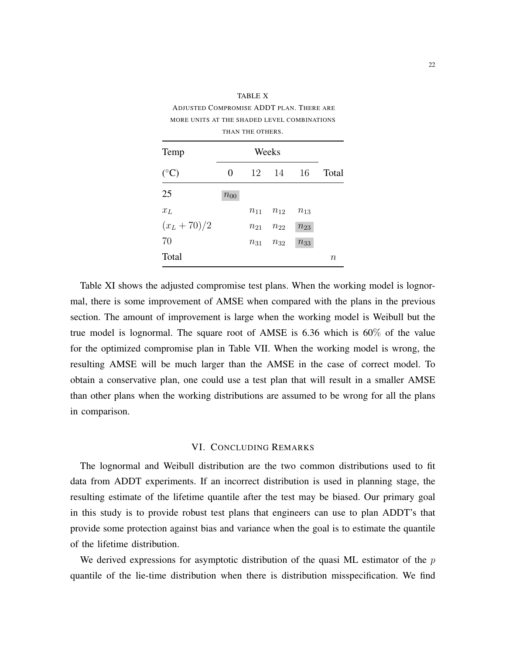| MORE UNITS AT THE SHADED LEVEL COMBINATIONS |          |                  |          |          |         |  |  |
|---------------------------------------------|----------|------------------|----------|----------|---------|--|--|
|                                             |          | THAN THE OTHERS. |          |          |         |  |  |
| Temp                                        |          | Weeks            |          |          |         |  |  |
| $({}^{\circ}C)$                             | 0        | 12               | 14       | 16       | Total   |  |  |
| 25                                          | $n_{00}$ |                  |          |          |         |  |  |
| $x_L$                                       |          | $n_{11}$         | $n_{12}$ | $n_{13}$ |         |  |  |
| $(x_L + 70)/2$                              |          | $n_{21}$         | $n_{22}$ | $n_{23}$ |         |  |  |
| 70                                          |          | $n_{31}$         | $n_{32}$ | $n_{33}$ |         |  |  |
| Total                                       |          |                  |          |          | $\it n$ |  |  |

<span id="page-21-0"></span>TABLE X ADJUSTED COMPROMISE ADDT PLAN. THERE ARE

Table [XI](#page-22-0) shows the adjusted compromise test plans. When the working model is lognormal, there is some improvement of AMSE when compared with the plans in the previous section. The amount of improvement is large when the working model is Weibull but the true model is lognormal. The square root of AMSE is 6.36 which is 60% of the value for the optimized compromise plan in Table [VII.](#page-18-0) When the working model is wrong, the resulting AMSE will be much larger than the AMSE in the case of correct model. To obtain a conservative plan, one could use a test plan that will result in a smaller AMSE than other plans when the working distributions are assumed to be wrong for all the plans in comparison.

#### VI. CONCLUDING REMARKS

The lognormal and Weibull distribution are the two common distributions used to fit data from ADDT experiments. If an incorrect distribution is used in planning stage, the resulting estimate of the lifetime quantile after the test may be biased. Our primary goal in this study is to provide robust test plans that engineers can use to plan ADDT's that provide some protection against bias and variance when the goal is to estimate the quantile of the lifetime distribution.

We derived expressions for asymptotic distribution of the quasi ML estimator of the  $p$ quantile of the lie-time distribution when there is distribution misspecification. We find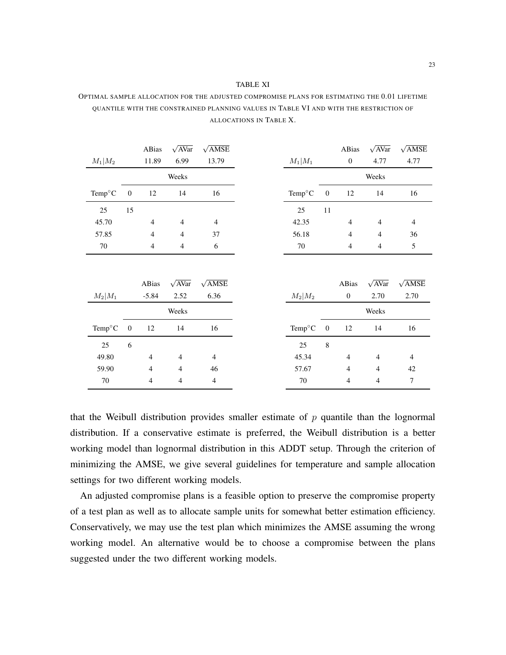<span id="page-22-0"></span>

| OPTIMAL SAMPLE ALLOCATION FOR THE ADJUSTED COMPROMISE PLANS FOR ESTIMATING THE 0.01 LIFETIME |
|----------------------------------------------------------------------------------------------|
| OUANTILE WITH THE CONSTRAINED PLANNING VALUES IN TABLE VI AND WITH THE RESTRICTION OF        |
| ALLOCATIONS IN TABLE X.                                                                      |

|                 |                  | ABias          | $\sqrt{AVar}$  | $\sqrt{\text{AMSE}}$ |                           |                  | ABias            | $\sqrt{AVar}$            | $\sqrt{\text{AMSE}}$ |
|-----------------|------------------|----------------|----------------|----------------------|---------------------------|------------------|------------------|--------------------------|----------------------|
| $M_1 M_2$       |                  | 11.89          | 6.99           | 13.79                | $M_1 M_1$                 |                  | $\boldsymbol{0}$ | 4.77                     | 4.77                 |
|                 |                  |                | Weeks          |                      |                           |                  |                  | Weeks                    |                      |
| $Temp^{\circ}C$ | $\boldsymbol{0}$ | 12             | 14             | 16                   | Temp°C                    | $\boldsymbol{0}$ | 12               | 14                       | 16                   |
| $25\,$          | 15               |                |                |                      | 25                        | 11               |                  |                          |                      |
| 45.70           |                  | $\overline{4}$ | $\overline{4}$ | $\overline{4}$       | 42.35                     |                  | $\overline{4}$   | $\overline{\mathcal{L}}$ | $\overline{4}$       |
| 57.85           |                  | $\overline{4}$ | $\overline{4}$ | 37                   | 56.18                     |                  | $\overline{4}$   | 4                        | 36                   |
| $70\,$          |                  | $\overline{4}$ | $\overline{4}$ | 6                    | $70\,$                    |                  | 4                | 4                        | 5                    |
|                 |                  | ABias          | $\sqrt{AVar}$  | $\sqrt{\text{AMSE}}$ |                           |                  | ABias            | $\sqrt{AVar}$            | $\sqrt{\text{AMSE}}$ |
| $M_2 M_1$       |                  | $-5.84$        | 2.52           | 6.36                 | $M_2 M_2$                 |                  | $\mathbf{0}$     | 2.70                     | 2.70                 |
|                 |                  |                | Weeks          |                      |                           |                  |                  | Weeks                    |                      |
| $Temp^{\circ}C$ | $\boldsymbol{0}$ | 12             | 14             | 16                   | Temp $\mathrm{^{\circ}C}$ | $\boldsymbol{0}$ | 12               | 14                       | 16                   |
| 25              | 6                |                |                |                      | $25\,$                    | $\,$ 8 $\,$      |                  |                          |                      |
| 49.80           |                  | $\overline{4}$ | $\overline{4}$ | $\overline{4}$       | 45.34                     |                  | $\overline{4}$   | $\overline{4}$           | $\overline{4}$       |
| 59.90           |                  | $\overline{4}$ | 4              | 46                   | 57.67                     |                  | $\overline{4}$   | $\overline{4}$           | 42                   |
| 70              |                  | $\overline{4}$ | 4              | $\overline{4}$       | 70                        |                  | 4                | 4                        | 7                    |

that the Weibull distribution provides smaller estimate of  $p$  quantile than the lognormal distribution. If a conservative estimate is preferred, the Weibull distribution is a better working model than lognormal distribution in this ADDT setup. Through the criterion of minimizing the AMSE, we give several guidelines for temperature and sample allocation settings for two different working models.

An adjusted compromise plans is a feasible option to preserve the compromise property of a test plan as well as to allocate sample units for somewhat better estimation efficiency. Conservatively, we may use the test plan which minimizes the AMSE assuming the wrong working model. An alternative would be to choose a compromise between the plans suggested under the two different working models.

#### TABLE XI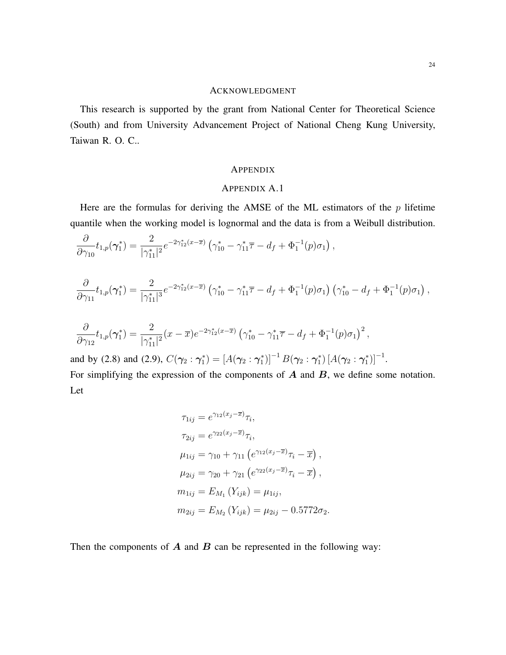### ACKNOWLEDGMENT

This research is supported by the grant from National Center for Theoretical Science (South) and from University Advancement Project of National Cheng Kung University, Taiwan R. O. C..

#### **APPENDIX**

#### APPENDIX A.1

Here are the formulas for deriving the AMSE of the ML estimators of the  $p$  lifetime quantile when the working model is lognormal and the data is from a Weibull distribution.

$$
\frac{\partial}{\partial \gamma_{10}} t_{1,p}(\boldsymbol{\gamma}_1^*) = \frac{2}{|\gamma_{11}^*|^2} e^{-2\gamma_{12}^*(x-\overline{x})} \left( \gamma_{10}^* - \gamma_{11}^* \overline{\tau} - d_f + \Phi_1^{-1}(p)\sigma_1 \right),
$$

$$
\frac{\partial}{\partial \gamma_{11}} t_{1,p}(\boldsymbol{\gamma}_1^*) = \frac{2}{|\gamma_{11}^*|^3} e^{-2\gamma_{12}^*(x-\overline{x})} \left( \gamma_{10}^* - \gamma_{11}^* \overline{\tau} - d_f + \Phi_1^{-1}(p)\sigma_1 \right) \left( \gamma_{10}^* - d_f + \Phi_1^{-1}(p)\sigma_1 \right),
$$

$$
\frac{\partial}{\partial \gamma_{12}} t_{1,p}(\gamma_1^*) = \frac{2}{|\gamma_{11}^*|^2} (x - \overline{x}) e^{-2\gamma_{12}^* (x - \overline{x})} \left(\gamma_{10}^* - \gamma_{11}^* \overline{\tau} - d_f + \Phi_1^{-1}(p) \sigma_1\right)^2,
$$

and by [\(2.8\)](#page-8-2) and [\(2.9\)](#page-8-3),  $C(\gamma_2 : \gamma_1^*) = [A(\gamma_2 : \gamma_1^*)]^{-1} B(\gamma_2 : \gamma_1^*) [A(\gamma_2 : \gamma_1^*)]^{-1}$ . For simplifying the expression of the components of  $A$  and  $B$ , we define some notation. Let

$$
\tau_{1ij} = e^{\gamma_{12}(x_j - \overline{x})} \tau_i,
$$
  
\n
$$
\tau_{2ij} = e^{\gamma_{22}(x_j - \overline{x})} \tau_i,
$$
  
\n
$$
\mu_{1ij} = \gamma_{10} + \gamma_{11} (e^{\gamma_{12}(x_j - \overline{x})} \tau_i - \overline{x}),
$$
  
\n
$$
\mu_{2ij} = \gamma_{20} + \gamma_{21} (e^{\gamma_{22}(x_j - \overline{x})} \tau_i - \overline{x}),
$$
  
\n
$$
m_{1ij} = E_{M_1} (Y_{ijk}) = \mu_{1ij},
$$
  
\n
$$
m_{2ij} = E_{M_2} (Y_{ijk}) = \mu_{2ij} - 0.5772 \sigma_2.
$$

Then the components of  $A$  and  $B$  can be represented in the following way: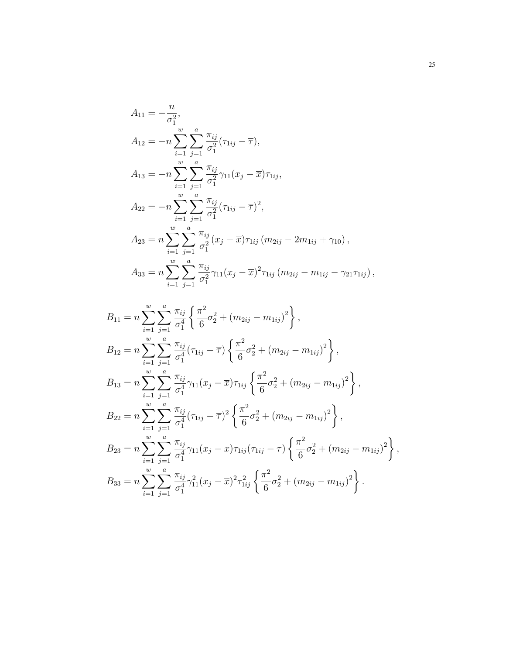$$
A_{11} = -\frac{n}{\sigma_1^2},
$$
  
\n
$$
A_{12} = -n \sum_{i=1}^w \sum_{j=1}^a \frac{\pi_{ij}}{\sigma_1^2} (\tau_{1ij} - \overline{\tau}),
$$
  
\n
$$
A_{13} = -n \sum_{i=1}^w \sum_{j=1}^a \frac{\pi_{ij}}{\sigma_1^2} \gamma_{11} (x_j - \overline{x}) \tau_{1ij},
$$
  
\n
$$
A_{22} = -n \sum_{i=1}^w \sum_{j=1}^a \frac{\pi_{ij}}{\sigma_1^2} (\tau_{1ij} - \overline{\tau})^2,
$$
  
\n
$$
A_{23} = n \sum_{i=1}^w \sum_{j=1}^a \frac{\pi_{ij}}{\sigma_1^2} (x_j - \overline{x}) \tau_{1ij} (m_{2ij} - 2m_{1ij} + \gamma_{10}),
$$
  
\n
$$
A_{33} = n \sum_{i=1}^w \sum_{j=1}^a \frac{\pi_{ij}}{\sigma_1^2} \gamma_{11} (x_j - \overline{x})^2 \tau_{1ij} (m_{2ij} - m_{1ij} - \gamma_{21} \tau_{1ij}),
$$

$$
B_{11} = n \sum_{i=1}^{w} \sum_{j=1}^{a} \frac{\pi_{ij}}{\sigma_1^4} \left\{ \frac{\pi^2}{6} \sigma_2^2 + (m_{2ij} - m_{1ij})^2 \right\},
$$
  
\n
$$
B_{12} = n \sum_{i=1}^{w} \sum_{j=1}^{a} \frac{\pi_{ij}}{\sigma_1^4} (\tau_{1ij} - \overline{\tau}) \left\{ \frac{\pi^2}{6} \sigma_2^2 + (m_{2ij} - m_{1ij})^2 \right\},
$$
  
\n
$$
B_{13} = n \sum_{i=1}^{w} \sum_{j=1}^{a} \frac{\pi_{ij}}{\sigma_1^4} \gamma_{11} (x_j - \overline{x}) \tau_{1ij} \left\{ \frac{\pi^2}{6} \sigma_2^2 + (m_{2ij} - m_{1ij})^2 \right\},
$$
  
\n
$$
B_{22} = n \sum_{i=1}^{w} \sum_{j=1}^{a} \frac{\pi_{ij}}{\sigma_1^4} (\tau_{1ij} - \overline{\tau})^2 \left\{ \frac{\pi^2}{6} \sigma_2^2 + (m_{2ij} - m_{1ij})^2 \right\},
$$
  
\n
$$
B_{23} = n \sum_{i=1}^{w} \sum_{j=1}^{a} \frac{\pi_{ij}}{\sigma_1^4} \gamma_{11} (x_j - \overline{x}) \tau_{1ij} (\tau_{1ij} - \overline{\tau}) \left\{ \frac{\pi^2}{6} \sigma_2^2 + (m_{2ij} - m_{1ij})^2 \right\},
$$
  
\n
$$
B_{33} = n \sum_{i=1}^{w} \sum_{j=1}^{a} \frac{\pi_{ij}}{\sigma_1^4} \gamma_{11}^2 (x_j - \overline{x})^2 \tau_{1ij}^2 \left\{ \frac{\pi^2}{6} \sigma_2^2 + (m_{2ij} - m_{1ij})^2 \right\}.
$$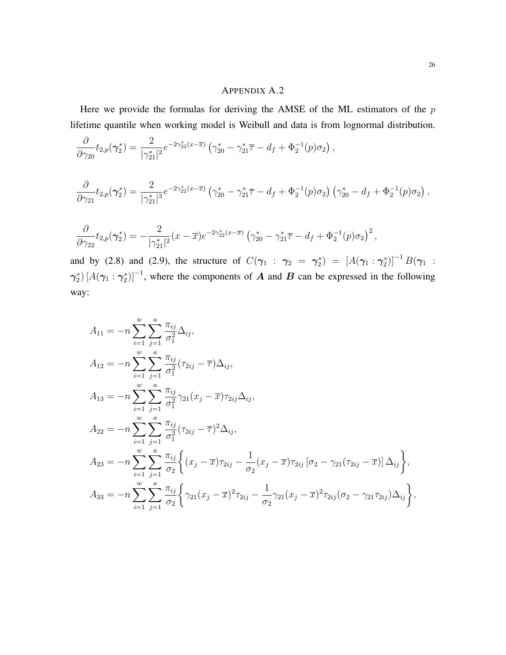#### APPENDIX A.2

Here we provide the formulas for deriving the AMSE of the ML estimators of the  $p$ lifetime quantile when working model is Weibull and data is from lognormal distribution.

$$
\frac{\partial}{\partial \gamma_{20}} t_{2,p}(\gamma_2^*) = \frac{2}{|\gamma_{21}^*|^2} e^{-2\gamma_{22}^*(x-\overline{x})} \left( \gamma_{20}^* - \gamma_{21}^* \overline{\tau} - d_f + \Phi_2^{-1}(p)\sigma_2 \right),
$$
  

$$
\frac{\partial}{\partial \gamma_{21}} t_{2,p}(\gamma_2^*) = \frac{2}{|\gamma_{21}^*|^3} e^{-2\gamma_{22}^*(x-\overline{x})} \left( \gamma_{20}^* - \gamma_{21}^* \overline{\tau} - d_f + \Phi_2^{-1}(p)\sigma_2 \right) \left( \gamma_{20}^* - d_f + \Phi_2^{-1}(p)\sigma_2 \right),
$$

$$
\frac{\partial}{\partial \gamma_{22}} t_{2,p}(\boldsymbol{\gamma}_2^*) = -\frac{2}{|\gamma_{21}^*|^2} (x-\overline{x}) e^{-2\gamma_{22}^* (x-\overline{x})} \left( \gamma_{20}^* - \gamma_{21}^* \overline{\tau} - d_f + \Phi_2^{-1}(p) \sigma_2 \right)^2,
$$

and by [\(2.8\)](#page-8-2) and [\(2.9\)](#page-8-3), the structure of  $C(\gamma_1 : \gamma_2 = \gamma_2^*) = [A(\gamma_1 : \gamma_2^*)]^{-1}B(\gamma_1 :$  $\gamma_2^*$   $[A(\gamma_1 : \gamma_2^*)]^{-1}$ , where the components of A and B can be expressed in the following way:

$$
A_{11} = -n \sum_{i=1}^{w} \sum_{j=1}^{a} \frac{\pi_{ij}}{\sigma_1^2} \Delta_{ij},
$$
  
\n
$$
A_{12} = -n \sum_{i=1}^{w} \sum_{j=1}^{a} \frac{\pi_{ij}}{\sigma_1^2} (\tau_{2ij} - \overline{\tau}) \Delta_{ij},
$$
  
\n
$$
A_{13} = -n \sum_{i=1}^{w} \sum_{j=1}^{a} \frac{\pi_{ij}}{\sigma_1^2} \gamma_{21} (x_j - \overline{x}) \tau_{2ij} \Delta_{ij},
$$
  
\n
$$
A_{22} = -n \sum_{i=1}^{w} \sum_{j=1}^{a} \frac{\pi_{ij}}{\sigma_1^2} (\tau_{2ij} - \overline{\tau})^2 \Delta_{ij},
$$
  
\n
$$
A_{23} = -n \sum_{i=1}^{w} \sum_{j=1}^{a} \frac{\pi_{ij}}{\sigma_2} \left\{ (x_j - \overline{x}) \tau_{2ij} - \frac{1}{\sigma_2} (x_j - \overline{x}) \tau_{2ij} [\sigma_2 - \gamma_{21} (\tau_{2ij} - \overline{x})] \Delta_{ij} \right\},
$$
  
\n
$$
A_{33} = -n \sum_{i=1}^{w} \sum_{j=1}^{a} \frac{\pi_{ij}}{\sigma_2} \left\{ \gamma_{21} (x_j - \overline{x})^2 \tau_{2ij} - \frac{1}{\sigma_2} \gamma_{21} (x_j - \overline{x})^2 \tau_{2ij} (\sigma_2 - \gamma_{21} \tau_{2ij}) \Delta_{ij} \right\},
$$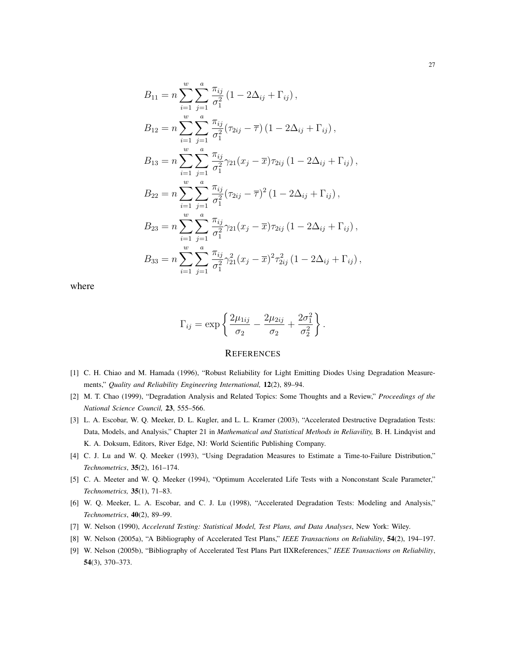$$
B_{11} = n \sum_{i=1}^{w} \sum_{j=1}^{a} \frac{\pi_{ij}}{\sigma_1^2} (1 - 2\Delta_{ij} + \Gamma_{ij}),
$$
  
\n
$$
B_{12} = n \sum_{i=1}^{w} \sum_{j=1}^{a} \frac{\pi_{ij}}{\sigma_1^2} (\tau_{2ij} - \overline{\tau}) (1 - 2\Delta_{ij} + \Gamma_{ij}),
$$
  
\n
$$
B_{13} = n \sum_{i=1}^{w} \sum_{j=1}^{a} \frac{\pi_{ij}}{\sigma_1^2} \gamma_{21} (x_j - \overline{x}) \tau_{2ij} (1 - 2\Delta_{ij} + \Gamma_{ij}),
$$
  
\n
$$
B_{22} = n \sum_{i=1}^{w} \sum_{j=1}^{a} \frac{\pi_{ij}}{\sigma_1^2} (\tau_{2ij} - \overline{\tau})^2 (1 - 2\Delta_{ij} + \Gamma_{ij}),
$$
  
\n
$$
B_{23} = n \sum_{i=1}^{w} \sum_{j=1}^{a} \frac{\pi_{ij}}{\sigma_1^2} \gamma_{21} (x_j - \overline{x}) \tau_{2ij} (1 - 2\Delta_{ij} + \Gamma_{ij}),
$$
  
\n
$$
B_{33} = n \sum_{i=1}^{w} \sum_{j=1}^{a} \frac{\pi_{ij}}{\sigma_1^2} \gamma_{21}^2 (x_j - \overline{x})^2 \tau_{2ij}^2 (1 - 2\Delta_{ij} + \Gamma_{ij}),
$$

where

$$
\Gamma_{ij} = \exp\left\{\frac{2\mu_{1ij}}{\sigma_2} - \frac{2\mu_{2ij}}{\sigma_2} + \frac{2\sigma_1^2}{\sigma_2^2}\right\}.
$$

#### **REFERENCES**

- <span id="page-26-1"></span>[1] C. H. Chiao and M. Hamada (1996), "Robust Reliability for Light Emitting Diodes Using Degradation Measurements," *Quality and Reliability Engineering International,* 12(2), 89–94.
- <span id="page-26-3"></span>[2] M. T. Chao (1999), "Degradation Analysis and Related Topics: Some Thoughts and a Review," *Proceedings of the National Science Council,* 23, 555–566.
- <span id="page-26-4"></span>[3] L. A. Escobar, W. Q. Meeker, D. L. Kugler, and L. L. Kramer (2003), "Accelerated Destructive Degradation Tests: Data, Models, and Analysis," Chapter 21 in *Mathematical and Statistical Methods in Reliavility*, B. H. Lindqvist and K. A. Doksum, Editors, River Edge, NJ: World Scientific Publishing Company.
- <span id="page-26-0"></span>[4] C. J. Lu and W. Q. Meeker (1993), "Using Degradation Measures to Estimate a Time-to-Failure Distribution," *Technometrics*, 35(2), 161–174.
- [5] C. A. Meeter and W. Q. Meeker (1994), "Optimum Accelerated Life Tests with a Nonconstant Scale Parameter," *Technometrics,* 35(1), 71–83.
- <span id="page-26-2"></span>[6] W. Q. Meeker, L. A. Escobar, and C. J. Lu (1998), "Accelerated Degradation Tests: Modeling and Analysis," *Technometrics*, 40(2), 89–99.
- <span id="page-26-7"></span>[7] W. Nelson (1990), *Acceleratd Testing: Statistical Model, Test Plans, and Data Analyses*, New York: Wiley.
- <span id="page-26-5"></span>[8] W. Nelson (2005a), "A Bibliography of Accelerated Test Plans," *IEEE Transactions on Reliability*, 54(2), 194–197.
- <span id="page-26-6"></span>[9] W. Nelson (2005b), "Bibliography of Accelerated Test Plans Part IIXReferences," *IEEE Transactions on Reliability*, 54(3), 370–373.